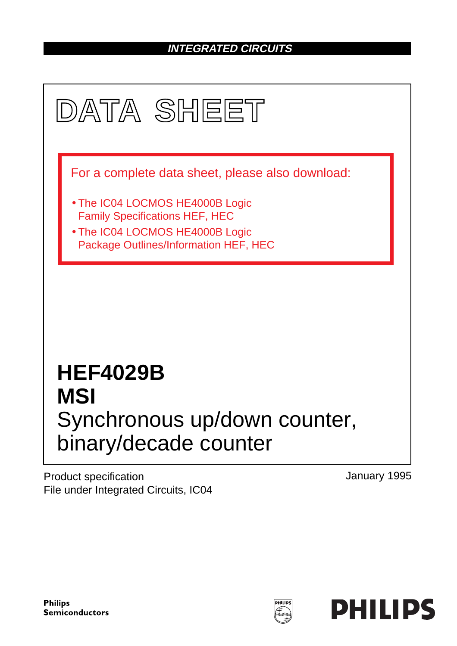## **INTEGRATED CIRCUITS**



Product specification File under Integrated Circuits, IC04 January 1995

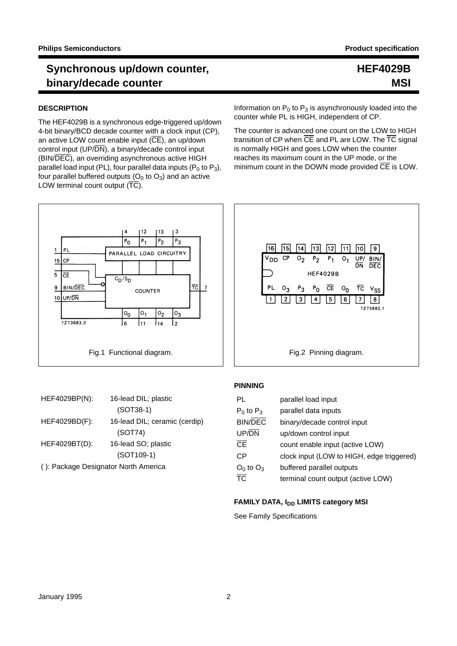#### **DESCRIPTION**

 $\overline{\mathbf{1}}$ 

 $\overline{5}$ 

 $\overline{a}$ 

 $15$  CP

 $\overline{\overline{\text{CE}}}$ 

**BIN/DEC** 

7Z73683.3

UP/DN  $10<sub>1</sub>$ 

The HEF4029B is a synchronous edge-triggered up/down 4-bit binary/BCD decade counter with a clock input (CP), an active LOW count enable input  $(\overline{CE})$ , an up/down control input (UP/DN), a binary/decade control input (BIN/DEC), an overriding asynchronous active HIGH parallel load input (PL), four parallel data inputs ( $P_0$  to  $P_3$ ), four parallel buffered outputs  $(O_0$  to  $O_3)$  and an active LOW terminal count output  $(\overline{TC})$ .

4

 $P_{0}$ 

 $c_D/s_D$ 

 $\circ$ <sub>0</sub>

16

 $12$ 

Ρ,

 $|0,$ 

11

Information on  $P_0$  to  $P_3$  is asynchronously loaded into the counter while PL is HIGH, independent of CP.

The counter is advanced one count on the LOW to HIGH transition of CP when  $\overline{\text{CE}}$  and PL are LOW. The  $\overline{\text{TC}}$  signal is normally HIGH and goes LOW when the counter reaches its maximum count in the UP mode, or the minimum count in the DOWN mode provided  $\overline{CE}$  is LOW.



| HEF4029BP(N):                        | 16-lead DIL; plastic<br>$(SOT38-1)$ |  |  |  |  |
|--------------------------------------|-------------------------------------|--|--|--|--|
| HEF4029BD(F):                        | 16-lead DIL; ceramic (cerdip)       |  |  |  |  |
|                                      | (SOT74)                             |  |  |  |  |
| HEF4029BT(D):                        | 16-lead SO; plastic                 |  |  |  |  |
|                                      | $(SOT109-1)$                        |  |  |  |  |
| (): Package Designator North America |                                     |  |  |  |  |

#### **PINNING**

| PL                     | parallel load input                       |
|------------------------|-------------------------------------------|
| $P_0$ to $P_3$         | parallel data inputs                      |
| <b>BIN/DEC</b>         | binary/decade control input               |
| UP/DN                  | up/down control input                     |
| $\overline{\text{CE}}$ | count enable input (active LOW)           |
| СP                     | clock input (LOW to HIGH, edge triggered) |
| $O_0$ to $O_3$         | buffered parallel outputs                 |
| $\overline{\text{TC}}$ | terminal count output (active LOW)        |

#### **FAMILY DATA, I<sub>DD</sub> LIMITS category MSI**

See Family Specifications

**HEF4029B**

**MSI**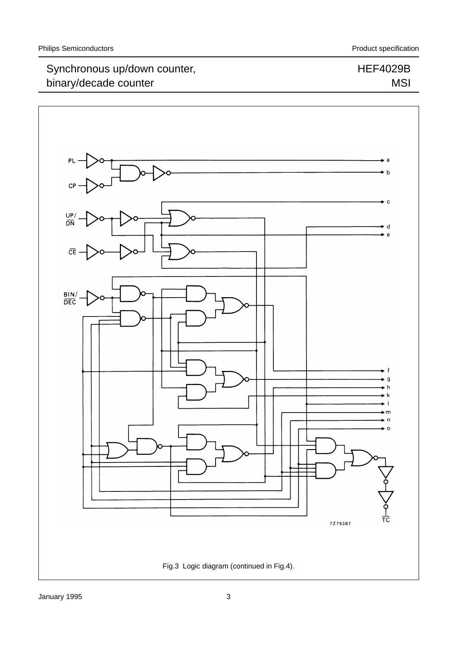HEF4029B

MSI

## Synchronous up/down counter, binary/decade counter

## $\bullet$  a  $\bullet$  b  $\mathbf C$  $\bullet$  c  $rac{UP}{DN}$ d  $\bullet$  e  $\overline{CE}$ BIN/<br>DEC g  $\mathbf{k}$ m тċ 7275387 Fig.3 Logic diagram (continued in Fig.4).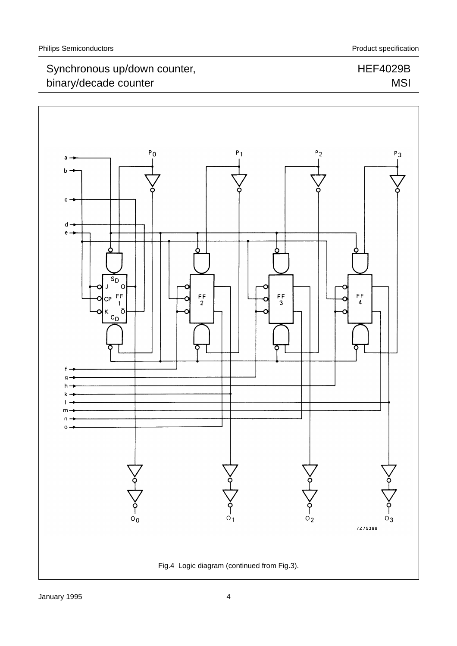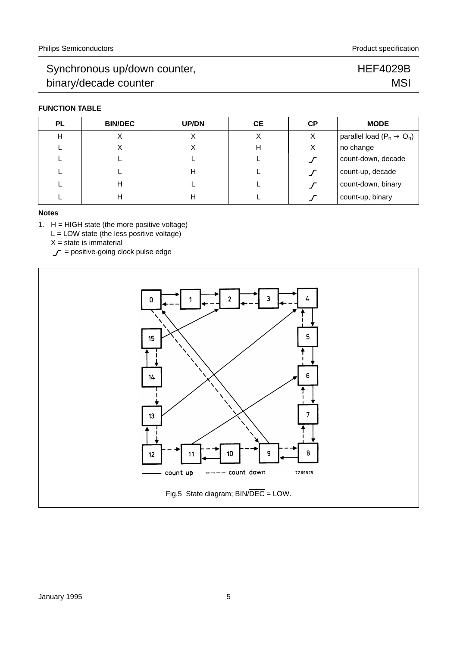#### **FUNCTION TABLE**

| PL | <b>BIN/DEC</b> | <b>UP/DN</b> | CЕ | <b>CP</b> | <b>MODE</b>                           |
|----|----------------|--------------|----|-----------|---------------------------------------|
| н  |                |              |    | X         | parallel load $(P_n \rightarrow O_n)$ |
|    | ∧              | Х            | н  | X         | no change                             |
|    |                |              |    |           | count-down, decade                    |
|    |                | н            |    |           | count-up, decade                      |
|    | н              |              |    |           | count-down, binary                    |
|    | н              | н            |    |           | count-up, binary                      |

#### **Notes**

1. H = HIGH state (the more positive voltage)

 $L =$  LOW state (the less positive voltage)

 $X = state$  is immaterial

 $\mathcal{J}$  = positive-going clock pulse edge



HEF4029B

**MSI**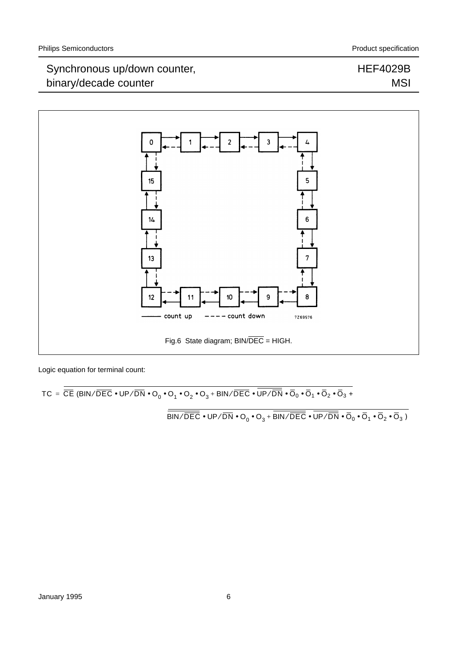#### HEF4029B MSI



Logic equation for terminal count:

 $\mathsf{TC} = \overline{\mathsf{CE}} \; (\mathsf{BIN}/\overline{\mathsf{DEC}} \bullet \mathsf{UP}/\overline{\mathsf{DN}} \bullet \mathsf{O}_0 \bullet \mathsf{O}_1 \bullet \mathsf{O}_2 \bullet \mathsf{O}_3 + \mathsf{BIN}/\overline{\mathsf{DEC}} \bullet \overline{\mathsf{UP}/\overline{\mathsf{DN}}} \bullet \overline{\mathsf{O}}_0 \bullet \overline{\mathsf{O}}_1 \bullet \overline{\mathsf{O}}_2 \bullet \overline{\mathsf{O}}_3 + \overline{\mathsf{O}}_2 \bullet \overline{\mathsf{O}}_3 \bullet \overline{\mathsf{O}}_4 \bullet \overline{\mathsf$ 

 $\overline{\frac{\overline{\mathsf{BIN}/\overline{\mathsf{DEC}}}}\bullet \mathsf{UP}/\overline{\mathsf{DN}}\bullet \mathsf{O}_0\bullet \mathsf{O}_3+ \overline{\mathsf{BIN}/\overline{\mathsf{DEC}}}\bullet \overline{\mathsf{UP}/\overline{\mathsf{DN}}}\bullet \overline{\mathsf{O}}_0\bullet \overline{\mathsf{O}}_1\bullet \overline{\mathsf{O}}_2\bullet \overline{\mathsf{O}}_3)}$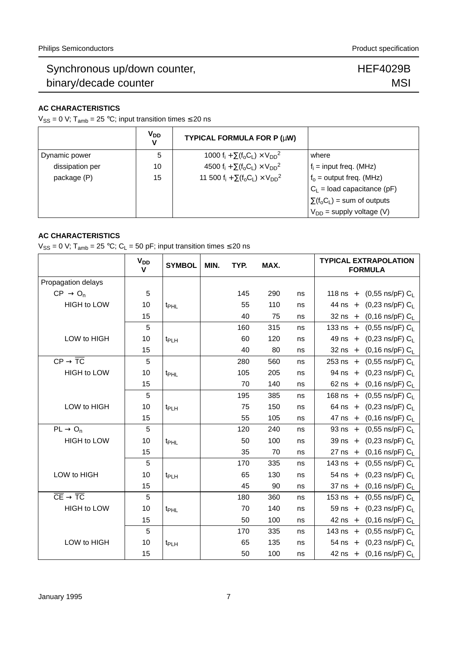#### HEF4029B **MSI**

#### **AC CHARACTERISTICS**

 $V_{SS} = 0$  V; T<sub>amb</sub> = 25 °C; input transition times  $\leq$  20 ns

|                 | <b>V<sub>DD</sub></b><br>v | TYPICAL FORMULA FOR P (µW)                                                                     |                                   |
|-----------------|----------------------------|------------------------------------------------------------------------------------------------|-----------------------------------|
| Dynamic power   | 5                          | 1000 f <sub>i</sub> + $\Sigma$ (f <sub>o</sub> C <sub>L</sub> ) × V <sub>DD</sub> <sup>2</sup> | where                             |
| dissipation per | 10                         | 4500 f <sub>i</sub> + $\Sigma$ (f <sub>o</sub> C <sub>L</sub> ) × V <sub>DD</sub> <sup>2</sup> | $f_i$ = input freq. (MHz)         |
| package (P)     | 15                         | 11 500 $f_i + \sum (f_o C_L) \times V_{DD}^2$                                                  | $f_0$ = output freq. (MHz)        |
|                 |                            |                                                                                                | $C_1$ = load capacitance (pF)     |
|                 |                            |                                                                                                | $\Sigma(f_0C_L)$ = sum of outputs |
|                 |                            |                                                                                                | $V_{DD}$ = supply voltage (V)     |

#### **AC CHARACTERISTICS**

V<sub>SS</sub> = 0 V; T<sub>amb</sub> = 25 °C; C<sub>L</sub> = 50 pF; input transition times  $\leq$  20 ns

|                                                         | $V_{DD}$<br>V | <b>SYMBOL</b>    | MIN. | TYP. | MAX. |    | <b>TYPICAL EXTRAPOLATION</b><br><b>FORMULA</b>      |
|---------------------------------------------------------|---------------|------------------|------|------|------|----|-----------------------------------------------------|
| Propagation delays                                      |               |                  |      |      |      |    |                                                     |
| $CP \rightarrow O_n$                                    | 5             |                  |      | 145  | 290  | ns | 118 ns $+$<br>(0,55 ns/pF) C <sub>L</sub>           |
| <b>HIGH to LOW</b>                                      | 10            | t <sub>PHL</sub> |      | 55   | 110  | ns | $(0,23 \text{ ns/pF})$ C <sub>L</sub><br>44 ns $+$  |
|                                                         | 15            |                  |      | 40   | 75   | ns | (0,16 ns/pF) $C_L$<br>$32$ ns +                     |
|                                                         | 5             |                  |      | 160  | 315  | ns | 133 ns $+$<br>$(0,55 \text{ ns/pF}) \text{ C}$      |
| LOW to HIGH                                             | 10            | t <sub>PLH</sub> |      | 60   | 120  | ns | 49 ns $+$<br>(0,23 ns/pF) $C_L$                     |
|                                                         | 15            |                  |      | 40   | 80   | ns | (0,16 ns/pF) $C_L$<br>$32$ ns +                     |
| $CP \rightarrow \overline{TC}$                          | 5             |                  |      | 280  | 560  | ns | $253$ ns +<br>$(0,55 \text{ ns/pF})$ C <sub>L</sub> |
| HIGH to LOW                                             | 10            | t <sub>PHL</sub> |      | 105  | 205  | ns | $94$ ns +<br>(0,23 ns/pF) $\rm C_{L}$               |
|                                                         | 15            |                  |      | 70   | 140  | ns | $62$ ns +<br>(0,16 ns/pF) $\rm C_{L}$               |
|                                                         | 5             |                  |      | 195  | 385  | ns | $168$ ns +<br>$(0,55 \text{ ns/pF})$ C <sub>L</sub> |
| LOW to HIGH                                             | 10            | t <sub>PLH</sub> |      | 75   | 150  | ns | $(0,23 \text{ ns/pF}) \text{ C}$<br>$64$ ns +       |
|                                                         | 15            |                  |      | 55   | 105  | ns | (0,16 ns/pF) $C_L$<br>$47$ ns +                     |
| $PL \rightarrow O_n$                                    | 5             |                  |      | 120  | 240  | ns | (0,55 ns/pF) $C_L$<br>$93$ ns +                     |
| <b>HIGH to LOW</b>                                      | 10            | t <sub>PHL</sub> |      | 50   | 100  | ns | $39$ ns +<br>$(0,23 \text{ ns/pF}) \text{ C}_L$     |
|                                                         | 15            |                  |      | 35   | 70   | ns | $27$ ns +<br>(0,16 ns/pF) $C_L$                     |
|                                                         | 5             |                  |      | 170  | 335  | ns | 143 ns $+$<br>$(0,55 \text{ ns/pF})$ C <sub>L</sub> |
| LOW to HIGH                                             | 10            | t <sub>PLH</sub> |      | 65   | 130  | ns | $(0,23 \text{ ns/pF}) C_L$<br>$54$ ns +             |
|                                                         | 15            |                  |      | 45   | 90   | ns | $(0,16 \text{ ns/pF})$ C <sub>L</sub><br>$37$ ns +  |
| $\overline{\text{CE}} \rightarrow \overline{\text{TC}}$ | 5             |                  |      | 180  | 360  | ns | $(0,55 \text{ ns/pF}) C_L$<br>$153$ ns +            |
| <b>HIGH to LOW</b>                                      | 10            | t <sub>PHL</sub> |      | 70   | 140  | ns | $(0,23 \text{ ns/pF}) C_L$<br>$59$ ns +             |
|                                                         | 15            |                  |      | 50   | 100  | ns | $(0,16 \text{ ns/pF})$ $C_L$<br>$42$ ns +           |
|                                                         | 5             |                  |      | 170  | 335  | ns | 143 ns $+$<br>$(0,55 \text{ ns/pF}) C_L$            |
| LOW to HIGH                                             | 10            | t <sub>PLH</sub> |      | 65   | 135  | ns | (0,23 ns/pF) $\rm C_{L}$<br>$54$ ns +               |
|                                                         | 15            |                  |      | 50   | 100  | ns | 42 ns + $(0,16 \text{ ns/pF}) C_L$                  |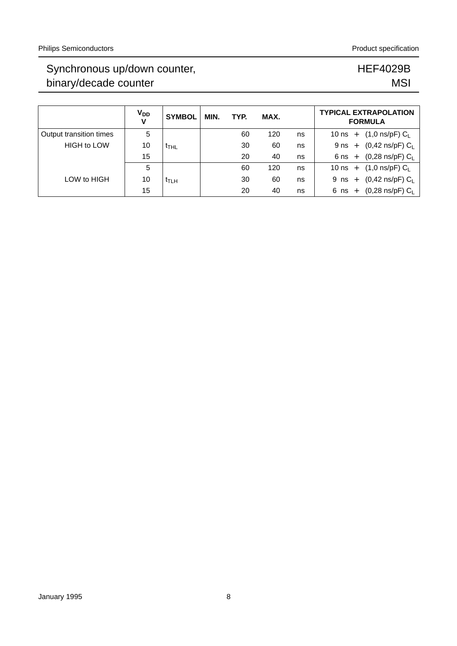|                         | <b>V<sub>DD</sub></b><br>v | <b>SYMBOL</b>    | MIN. | TYP. | MAX. |    |             | <b>TYPICAL EXTRAPOLATION</b><br><b>FORMULA</b> |
|-------------------------|----------------------------|------------------|------|------|------|----|-------------|------------------------------------------------|
| Output transition times | 5                          |                  |      | 60   | 120  | ns | 10 ns $+$   | $(1,0 \text{ ns/pF})$ C <sub>L</sub>           |
| <b>HIGH to LOW</b>      | 10                         | ҟтн∟             |      | 30   | 60   | ns | $9$ ns $+$  | $(0,42 \text{ ns/pF}) C_1$                     |
|                         | 15                         |                  |      | 20   | 40   | ns | $6$ ns $+$  | $(0,28 \text{ ns/pF}) C_L$                     |
|                         | 5                          |                  |      | 60   | 120  | ns | $10$ ns $+$ | $(1,0 \text{ ns/pF})$ C <sub>L</sub>           |
| LOW to HIGH             | 10                         | <sup>T</sup> TLH |      | 30   | 60   | ns | $9$ ns $+$  | $(0,42 \text{ ns/pF}) C_1$                     |
|                         | 15                         |                  |      | 20   | 40   | ns | $6$ ns $+$  | $(0,28 \text{ ns/pF}) \text{ C}_L$             |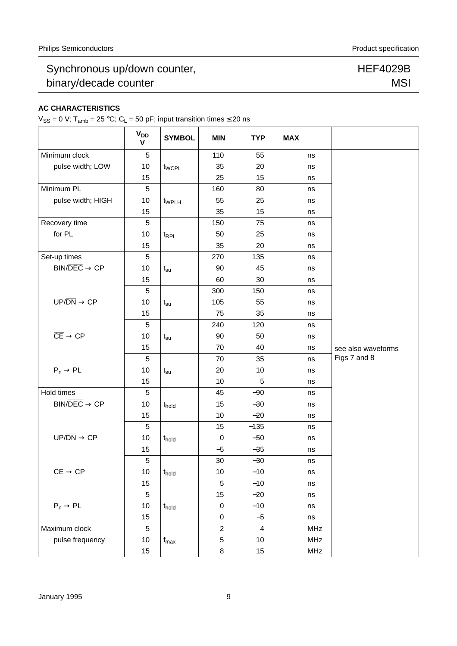#### **AC CHARACTERISTICS**

 $V_{SS} = 0$  V; T<sub>amb</sub> = 25 °C; C<sub>L</sub> = 50 pF; input transition times  $\leq$  20 ns

|                                                          | <b>V<sub>DD</sub></b><br>$\mathsf{V}$ | <b>SYMBOL</b>               | <b>MIN</b>       | <b>TYP</b>              | <b>MAX</b> |                    |
|----------------------------------------------------------|---------------------------------------|-----------------------------|------------------|-------------------------|------------|--------------------|
| Minimum clock                                            | 5                                     |                             | 110              | 55                      | ns         |                    |
| pulse width; LOW                                         | 10                                    | t <sub>WCPL</sub>           | 35               | 20                      | ns         |                    |
|                                                          | 15                                    |                             | 25               | 15                      | ns         |                    |
| Minimum PL                                               | 5                                     |                             | 160              | 80                      | ns         |                    |
| pulse width; HIGH                                        | 10                                    | t <sub>WPLH</sub>           | 55               | 25                      | ns         |                    |
|                                                          | 15                                    |                             | 35               | 15                      | ns         |                    |
| Recovery time                                            | 5                                     |                             | 150              | 75                      | ns         |                    |
| for PL                                                   | 10                                    | t <sub>RPL</sub>            | 50               | 25                      | ns         |                    |
|                                                          | 15                                    |                             | 35               | 20                      | ns         |                    |
| Set-up times                                             | 5                                     |                             | 270              | 135                     | ns         |                    |
| $\text{BIN}/\overline{\text{DEC}} \rightarrow \text{CP}$ | 10                                    | $t_{\rm su}$                | 90               | 45                      | ns         |                    |
|                                                          | 15                                    |                             | 60               | 30                      | ns         |                    |
|                                                          | 5                                     |                             | 300              | 150                     | ns         |                    |
| $UP/DN \rightarrow CP$                                   | 10                                    | $t_{\rm su}$                | 105              | 55                      | ns         |                    |
|                                                          | 15                                    |                             | 75               | 35                      | ns         |                    |
|                                                          | 5                                     |                             | 240              | 120                     | ns         |                    |
| $\overline{\text{CE}} \rightarrow \text{CP}$             | 10                                    | $t_{\rm su}$                | 90               | 50                      | ns         |                    |
|                                                          | 15                                    |                             | 70               | 40                      | ns         | see also waveforms |
|                                                          | 5                                     |                             | 70               | 35                      | ns         | Figs 7 and 8       |
| $P_n \rightarrow PL$                                     | 10                                    | $t_{\rm su}$                | 20               | 10                      | ns         |                    |
|                                                          | 15                                    |                             | 10               | 5                       | ns         |                    |
| Hold times                                               | 5                                     |                             | 45               | $-90$                   | ns         |                    |
| $BIN/DEC \rightarrow CP$                                 | 10                                    | t <sub>hold</sub>           | 15               | $-30$                   | ns         |                    |
|                                                          | 15                                    |                             | 10               | $-20$                   | ns         |                    |
|                                                          | 5                                     |                             | 15               | $-135$                  | ns         |                    |
| $UP/DN \rightarrow CP$                                   | 10                                    | t <sub>hold</sub>           | $\boldsymbol{0}$ | $-50$                   | ns         |                    |
|                                                          | 15                                    |                             | $-5$             | $-35$                   | ns         |                    |
|                                                          | 5                                     |                             | 30               | $-30$                   | ns         |                    |
| $\overline{\mathsf{CE}} \to \mathsf{CP}$                 | 10                                    | t <sub>hold</sub>           | 10               | $-10$                   | ns         |                    |
|                                                          | 15                                    |                             | 5                | $-10$                   | ns         |                    |
|                                                          | 5                                     |                             | 15               | $-20$                   | ns         |                    |
| $P_n \rightarrow PL$                                     | 10                                    | t <sub>hold</sub>           | $\mathbf 0$      | $-10$                   | ns         |                    |
|                                                          | 15                                    |                             | 0                | $-5$                    | ns         |                    |
| Maximum clock                                            | 5                                     |                             | $\overline{2}$   | $\overline{\mathbf{4}}$ | <b>MHz</b> |                    |
| pulse frequency                                          | $10$                                  | $\mathsf{f}_{\mathsf{max}}$ | 5                | $10$                    | MHz        |                    |
|                                                          | 15                                    |                             | 8                | 15                      | MHz        |                    |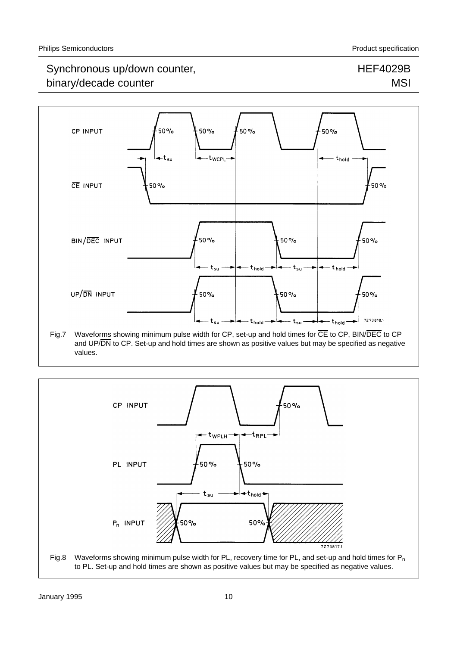## HEF4029B **MSI**



Fig.7 Waveforms showing minimum pulse width for CP, set-up and hold times for  $\overline{CE}$  to CP, BIN/DEC to CP and UP/DN to CP. Set-up and hold times are shown as positive values but may be specified as negative values.

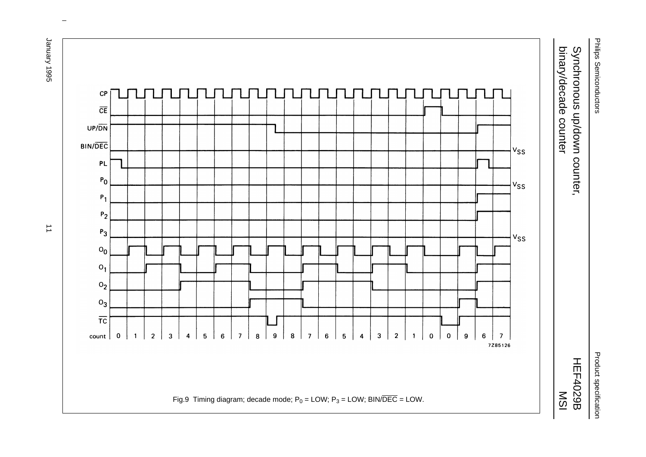Philips Semiconductors Philips Semiconductors

Product specification Product specification

# binary/decade counter binary/decade counter Synchronous up/down counter, Synchronous up/down counter,

HEF4029B MSI



 $\omega$  rotated correctly when browsing through the pdf in the Acrobat reader.This text is here in the pdf in the  $\alpha$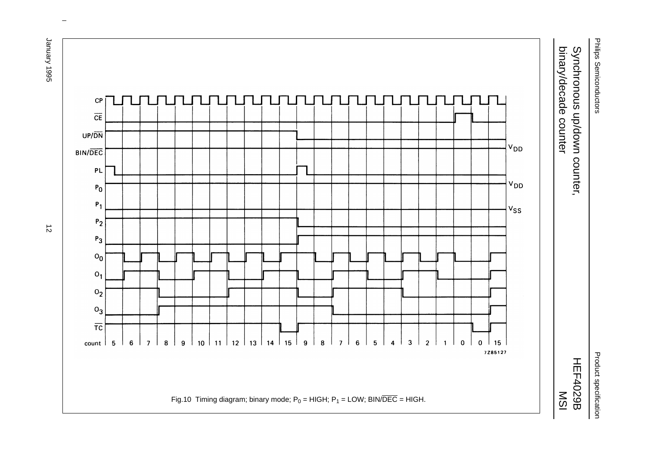Philips Semiconductors Philips Semiconductors

Product specification Product specification

# binary/decade counter binary/decade counter Synchronous up/down counter, Synchronous up/down counter,





 $\omega$  rotated correctly when browsing through the pdf in the Acrobat reader.This text is here in the pdf in the  $\alpha$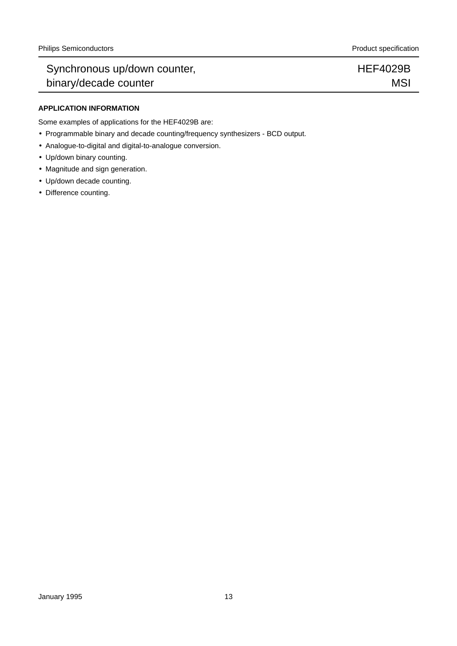#### **APPLICATION INFORMATION**

Some examples of applications for the HEF4029B are:

- Programmable binary and decade counting/frequency synthesizers BCD output.
- Analogue-to-digital and digital-to-analogue conversion.
- Up/down binary counting.
- Magnitude and sign generation.
- Up/down decade counting.
- Difference counting.